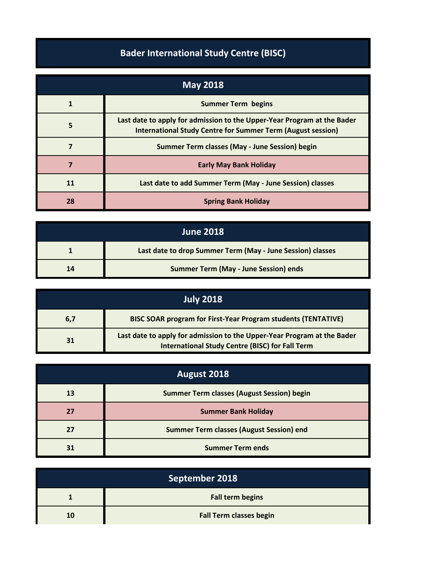## **Bader International Study Centre (BISC)**

| <b>May 2018</b> |                                                                                                                                               |
|-----------------|-----------------------------------------------------------------------------------------------------------------------------------------------|
|                 | <b>Summer Term begins</b>                                                                                                                     |
| 5               | Last date to apply for admission to the Upper-Year Program at the Bader<br><b>International Study Centre for Summer Term (August session)</b> |
|                 | Summer Term classes (May - June Session) begin                                                                                                |
| 7               | <b>Early May Bank Holiday</b>                                                                                                                 |
| 11              | Last date to add Summer Term (May - June Session) classes                                                                                     |
| 28              | <b>Spring Bank Holiday</b>                                                                                                                    |

| <b>June 2018</b> |                                                            |
|------------------|------------------------------------------------------------|
|                  | Last date to drop Summer Term (May - June Session) classes |
| 14               | <b>Summer Term (May - June Session) ends</b>               |

| July 2018 |                                                                                                                                   |
|-----------|-----------------------------------------------------------------------------------------------------------------------------------|
| 6,7       | <b>BISC SOAR program for First-Year Program students (TENTATIVE)</b>                                                              |
| 31        | Last date to apply for admission to the Upper-Year Program at the Bader<br><b>International Study Centre (BISC) for Fall Term</b> |

| August 2018 |                                                   |
|-------------|---------------------------------------------------|
| 13          | <b>Summer Term classes (August Session) begin</b> |
| 77          | <b>Summer Bank Holiday</b>                        |
| 27          | <b>Summer Term classes (August Session) end</b>   |
|             | <b>Summer Term ends</b>                           |

| September 2018 |                                |
|----------------|--------------------------------|
|                | <b>Fall term begins</b>        |
| 10             | <b>Fall Term classes begin</b> |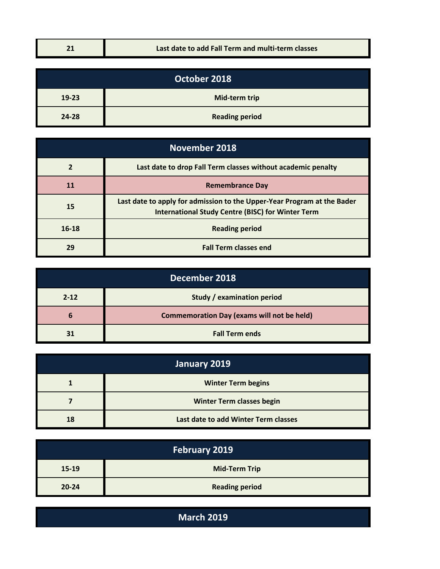| - 1 | Last date to add Fall Term and multi-term classes |
|-----|---------------------------------------------------|
|-----|---------------------------------------------------|

| October 2018 |                       |
|--------------|-----------------------|
| 19-23        | Mid-term trip         |
| 24-28        | <b>Reading period</b> |

| <b>November 2018</b> |                                                                                                                                     |
|----------------------|-------------------------------------------------------------------------------------------------------------------------------------|
|                      | Last date to drop Fall Term classes without academic penalty                                                                        |
| 11                   | <b>Remembrance Day</b>                                                                                                              |
| 15                   | Last date to apply for admission to the Upper-Year Program at the Bader<br><b>International Study Centre (BISC) for Winter Term</b> |
| $16 - 18$            | <b>Reading period</b>                                                                                                               |
| 29                   | <b>Fall Term classes end</b>                                                                                                        |

| December 2018 |                                                   |
|---------------|---------------------------------------------------|
| $2 - 12$      | <b>Study / examination period</b>                 |
| b             | <b>Commemoration Day (exams will not be held)</b> |
| 31            | <b>Fall Term ends</b>                             |

| January 2019 |                                      |
|--------------|--------------------------------------|
|              | <b>Winter Term begins</b>            |
|              | <b>Winter Term classes begin</b>     |
| 18           | Last date to add Winter Term classes |

| February 2019 |                       |
|---------------|-----------------------|
| 15-19         | <b>Mid-Term Trip</b>  |
| $20 - 24$     | <b>Reading period</b> |

**March 2019**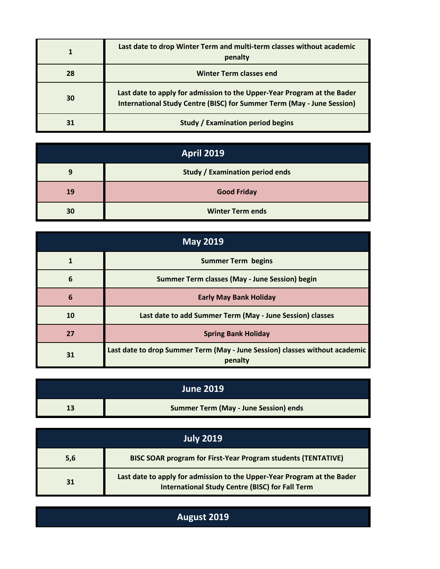|    | Last date to drop Winter Term and multi-term classes without academic<br>penalty                                                                         |
|----|----------------------------------------------------------------------------------------------------------------------------------------------------------|
| 28 | <b>Winter Term classes end</b>                                                                                                                           |
| 30 | Last date to apply for admission to the Upper-Year Program at the Bader<br><b>International Study Centre (BISC) for Summer Term (May - June Session)</b> |
|    | <b>Study / Examination period begins</b>                                                                                                                 |

| <b>April 2019</b> |                                        |
|-------------------|----------------------------------------|
|                   | <b>Study / Examination period ends</b> |
| 19                | <b>Good Friday</b>                     |
| 30                | <b>Winter Term ends</b>                |

| <b>May 2019</b> |                                                                                        |  |
|-----------------|----------------------------------------------------------------------------------------|--|
|                 | <b>Summer Term begins</b>                                                              |  |
| 6               | Summer Term classes (May - June Session) begin                                         |  |
| 6               | <b>Early May Bank Holiday</b>                                                          |  |
| 10              | Last date to add Summer Term (May - June Session) classes                              |  |
| 27              | <b>Spring Bank Holiday</b>                                                             |  |
| 31              | Last date to drop Summer Term (May - June Session) classes without academic<br>penalty |  |

| <b>June 2019</b> |                                              |
|------------------|----------------------------------------------|
|                  | <b>Summer Term (May - June Session) ends</b> |

| July 2019 |                                                                                                                                   |  |
|-----------|-----------------------------------------------------------------------------------------------------------------------------------|--|
| 5,6       | <b>BISC SOAR program for First-Year Program students (TENTATIVE)</b>                                                              |  |
| 31        | Last date to apply for admission to the Upper-Year Program at the Bader<br><b>International Study Centre (BISC) for Fall Term</b> |  |

## **August 2019**